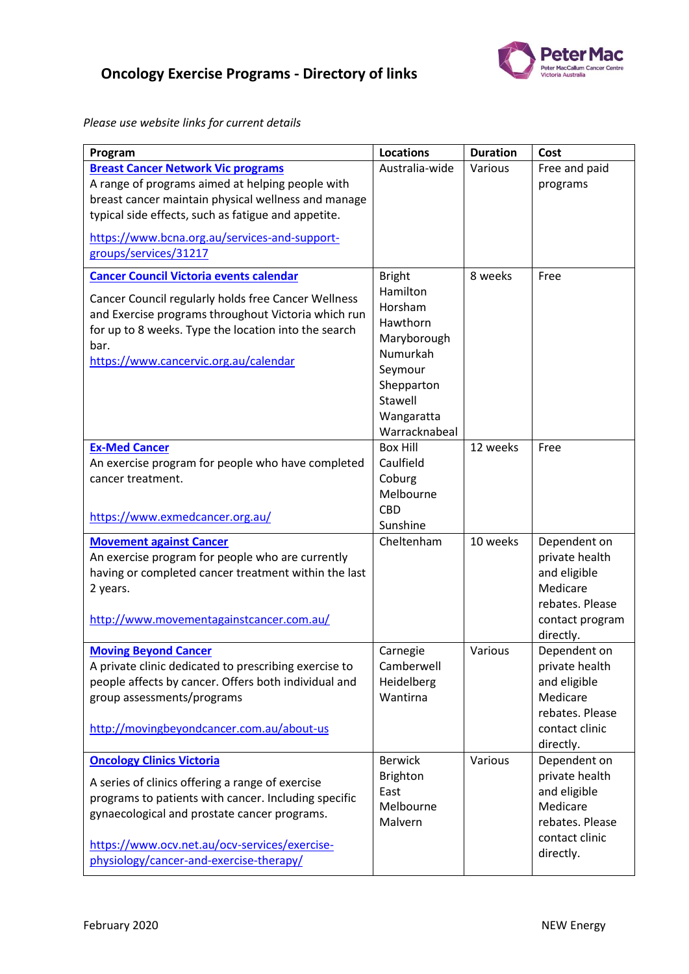

## **Oncology Exercise Programs - Directory of links**

*Please use website links for current details*

| Program                                                                                                                                                                                                                                                                                  | <b>Locations</b>                                                                                                                               | <b>Duration</b> | Cost                                                                                                          |
|------------------------------------------------------------------------------------------------------------------------------------------------------------------------------------------------------------------------------------------------------------------------------------------|------------------------------------------------------------------------------------------------------------------------------------------------|-----------------|---------------------------------------------------------------------------------------------------------------|
| <b>Breast Cancer Network Vic programs</b><br>A range of programs aimed at helping people with<br>breast cancer maintain physical wellness and manage<br>typical side effects, such as fatigue and appetite.<br>https://www.bcna.org.au/services-and-support-                             | Australia-wide                                                                                                                                 | Various         | Free and paid<br>programs                                                                                     |
| groups/services/31217                                                                                                                                                                                                                                                                    |                                                                                                                                                |                 |                                                                                                               |
| <b>Cancer Council Victoria events calendar</b><br>Cancer Council regularly holds free Cancer Wellness<br>and Exercise programs throughout Victoria which run<br>for up to 8 weeks. Type the location into the search<br>bar.<br>https://www.cancervic.org.au/calendar                    | <b>Bright</b><br>Hamilton<br>Horsham<br>Hawthorn<br>Maryborough<br>Numurkah<br>Seymour<br>Shepparton<br>Stawell<br>Wangaratta<br>Warracknabeal | 8 weeks         | Free                                                                                                          |
| <b>Ex-Med Cancer</b><br>An exercise program for people who have completed<br>cancer treatment.<br>https://www.exmedcancer.org.au/                                                                                                                                                        | <b>Box Hill</b><br>Caulfield<br>Coburg<br>Melbourne<br><b>CBD</b><br>Sunshine                                                                  | 12 weeks        | Free                                                                                                          |
| <b>Movement against Cancer</b><br>An exercise program for people who are currently<br>having or completed cancer treatment within the last<br>2 years.<br>http://www.movementagainstcancer.com.au/                                                                                       | Cheltenham                                                                                                                                     | 10 weeks        | Dependent on<br>private health<br>and eligible<br>Medicare<br>rebates. Please<br>contact program<br>directly. |
| <b>Moving Beyond Cancer</b><br>A private clinic dedicated to prescribing exercise to<br>people affects by cancer. Offers both individual and<br>group assessments/programs<br>http://movingbeyondcancer.com.au/about-us                                                                  | Carnegie<br>Camberwell<br>Heidelberg<br>Wantirna                                                                                               | Various         | Dependent on<br>private health<br>and eligible<br>Medicare<br>rebates. Please<br>contact clinic<br>directly.  |
| <b>Oncology Clinics Victoria</b><br>A series of clinics offering a range of exercise<br>programs to patients with cancer. Including specific<br>gynaecological and prostate cancer programs.<br>https://www.ocv.net.au/ocv-services/exercise-<br>physiology/cancer-and-exercise-therapy/ | <b>Berwick</b><br><b>Brighton</b><br>East<br>Melbourne<br>Malvern                                                                              | Various         | Dependent on<br>private health<br>and eligible<br>Medicare<br>rebates. Please<br>contact clinic<br>directly.  |